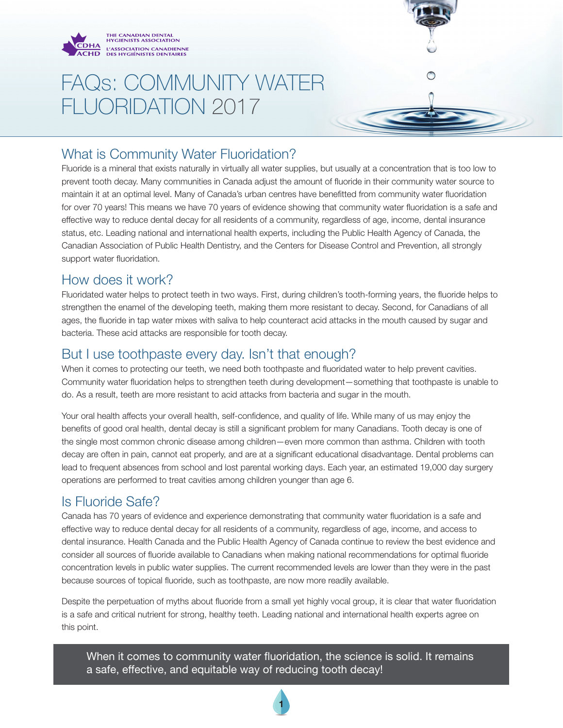

# FAQs: COMMUNITY WATER FLUORIDATION 2017

### What is Community Water Fluoridation?

Fluoride is a mineral that exists naturally in virtually all water supplies, but usually at a concentration that is too low to prevent tooth decay. Many communities in Canada adjust the amount of fluoride in their community water source to maintain it at an optimal level. Many of Canada's urban centres have benefitted from community water fluoridation for over 70 years! This means we have 70 years of evidence showing that community water fluoridation is a safe and effective way to reduce dental decay for all residents of a community, regardless of age, income, dental insurance status, etc. Leading national and international health experts, including the Public Health Agency of Canada, the Canadian Association of Public Health Dentistry, and the Centers for Disease Control and Prevention, all strongly support water fluoridation.

#### How does it work?

Fluoridated water helps to protect teeth in two ways. First, during children's tooth-forming years, the fluoride helps to strengthen the enamel of the developing teeth, making them more resistant to decay. Second, for Canadians of all ages, the fluoride in tap water mixes with saliva to help counteract acid attacks in the mouth caused by sugar and bacteria. These acid attacks are responsible for tooth decay.

#### But I use toothpaste every day. Isn't that enough?

When it comes to protecting our teeth, we need both toothpaste and fluoridated water to help prevent cavities. Community water fluoridation helps to strengthen teeth during development—something that toothpaste is unable to do. As a result, teeth are more resistant to acid attacks from bacteria and sugar in the mouth.

Your oral health affects your overall health, self-confidence, and quality of life. While many of us may enjoy the benefits of good oral health, dental decay is still a significant problem for many Canadians. Tooth decay is one of the single most common chronic disease among children—even more common than asthma. Children with tooth decay are often in pain, cannot eat properly, and are at a significant educational disadvantage. Dental problems can lead to frequent absences from school and lost parental working days. Each year, an estimated 19,000 day surgery operations are performed to treat cavities among children younger than age 6.

### Is Fluoride Safe?

Canada has 70 years of evidence and experience demonstrating that community water fluoridation is a safe and effective way to reduce dental decay for all residents of a community, regardless of age, income, and access to dental insurance. Health Canada and the Public Health Agency of Canada continue to review the best evidence and consider all sources of fluoride available to Canadians when making national recommendations for optimal fluoride concentration levels in public water supplies. The current recommended levels are lower than they were in the past because sources of topical fluoride, such as toothpaste, are now more readily available.

Despite the perpetuation of myths about fluoride from a small yet highly vocal group, it is clear that water fluoridation is a safe and critical nutrient for strong, healthy teeth. Leading national and international health experts agree on this point.

When it comes to community water fluoridation, the science is solid. It remains a safe, effective, and equitable way of reducing tooth decay!